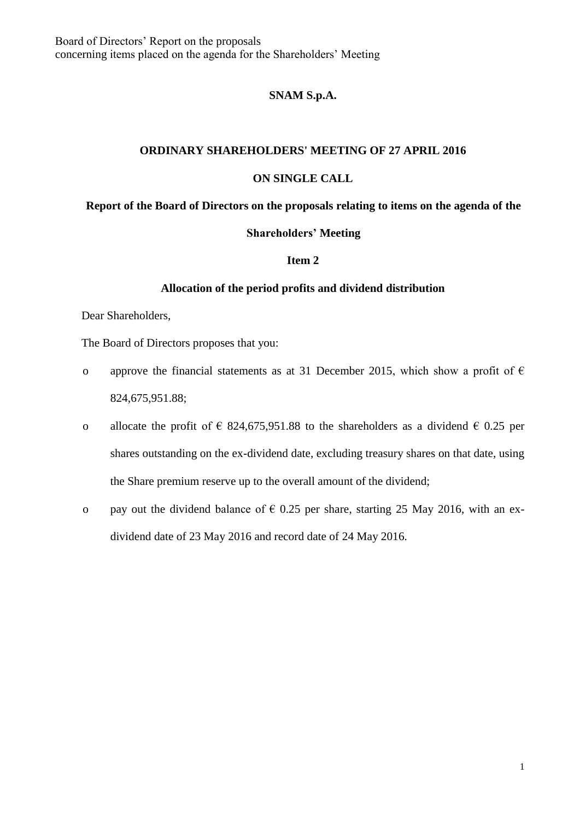# **SNAM S.p.A.**

### **ORDINARY SHAREHOLDERS' MEETING OF 27 APRIL 2016**

### **ON SINGLE CALL**

#### **Report of the Board of Directors on the proposals relating to items on the agenda of the**

### **Shareholders' Meeting**

#### **Item 2**

## **Allocation of the period profits and dividend distribution**

Dear Shareholders,

The Board of Directors proposes that you:

- o approve the financial statements as at 31 December 2015, which show a profit of  $\epsilon$ 824,675,951.88;
- o allocate the profit of  $\epsilon$  824,675,951.88 to the shareholders as a dividend  $\epsilon$  0.25 per shares outstanding on the ex-dividend date, excluding treasury shares on that date, using the Share premium reserve up to the overall amount of the dividend;
- o pay out the dividend balance of  $\epsilon$  0.25 per share, starting 25 May 2016, with an exdividend date of 23 May 2016 and record date of 24 May 2016.